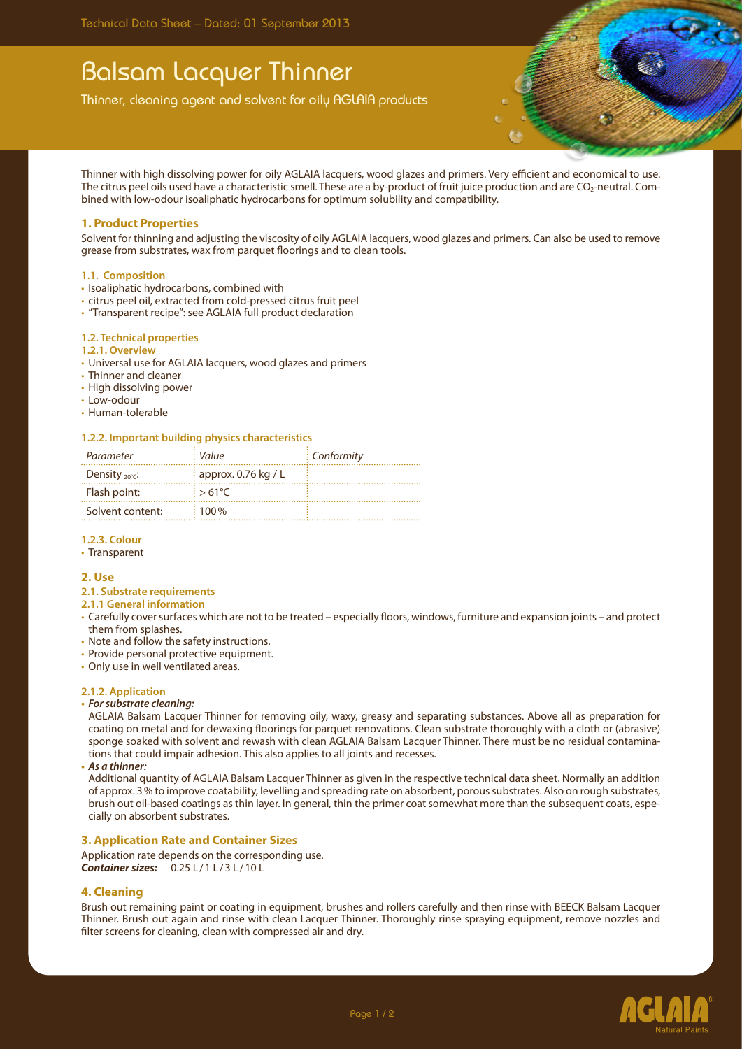# Balsam Lacquer Thinner

Thinner, cleaning agent and solvent for oily AGLAIA products

Thinner with high dissolving power for oily AGLAIA lacquers, wood glazes and primers. Very efficient and economical to use. The citrus peel oils used have a characteristic smell. These are a by-product of fruit juice production and are CO<sub>2</sub>-neutral. Combined with low-odour isoaliphatic hydrocarbons for optimum solubility and compatibility.

## **1. Product Properties**

Solvent for thinning and adjusting the viscosity of oily AGLAIA lacquers, wood glazes and primers. Can also be used to remove grease from substrates, wax from parquet floorings and to clean tools.

#### **1.1. Composition**

- Isoaliphatic hydrocarbons, combined with
- • citrus peel oil, extracted from cold-pressed citrus fruit peel
- • "Transparent recipe": see AGLAIA full product declaration

#### **1.2. Technical properties**

## **1.2.1. Overview**

- • Universal use for AGLAIA lacquers, wood glazes and primers
- Thinner and cleaner
- • High dissolving power
- Low-odour
- • Human-tolerable

## **1.2.2. Important building physics characteristics**

| Parameter                  | Value                             | $\frac{1}{2}$ Conformity |
|----------------------------|-----------------------------------|--------------------------|
| Density $_{20^{\circ}C}$ : | $\frac{1}{2}$ approx. 0.76 kg / L |                          |
| Flash point:               | $5.61^{\circ}$ C                  |                          |
| Solvent content:           | $100\%$                           |                          |

## **1.2.3. Colour**

• Transparent

#### **2. Use**

- **2.1. Substrate requirements**
- **2.1.1 General information**
- • Carefully cover surfaces which are not to be treated especially floors, windows, furniture and expansion joints and protect them from splashes.
- • Note and follow the safety instructions.
- Provide personal protective equipment.
- Only use in well ventilated areas.

#### **2.1.2. Application**

**• Forsubstrate cleaning:**

AGLAIA Balsam Lacquer Thinner for removing oily, waxy, greasy and separating substances. Above all as preparation for coating on metal and for dewaxing floorings for parquet renovations. Clean substrate thoroughly with a cloth or (abrasive) sponge soaked with solvent and rewash with clean AGLAIA Balsam Lacquer Thinner. There must be no residual contaminations that could impair adhesion. This also applies to all joints and recesses.

**• As a thinner:**

Additional quantity of AGLAIA Balsam Lacquer Thinner as given in the respective technical data sheet. Normally an addition of approx. 3% to improve coatability, levelling and spreading rate on absorbent, porous substrates. Also on rough substrates, brush out oil-based coatings as thin layer. In general, thin the primer coat somewhat more than the subsequent coats, especially on absorbent substrates.

## **3. Application Rate and Container Sizes**

Application rate depends on the corresponding use. *Container sizes:* 0.25 L /1 L /3 L /10 L

## **4. Cleaning**

Brush out remaining paint or coating in equipment, brushes and rollers carefully and then rinse with BEECK Balsam Lacquer Thinner. Brush out again and rinse with clean Lacquer Thinner. Thoroughly rinse spraying equipment, remove nozzles and filter screens for cleaning, clean with compressed air and dry.